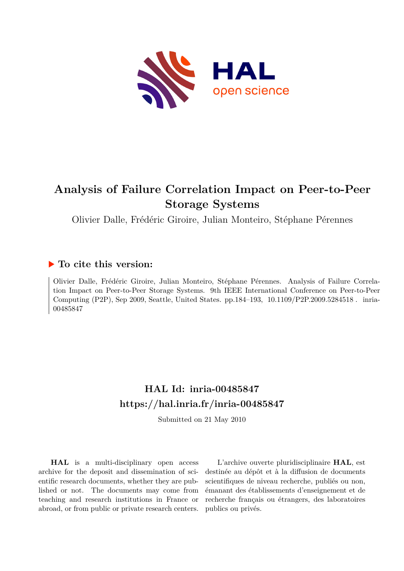

## **Analysis of Failure Correlation Impact on Peer-to-Peer Storage Systems**

Olivier Dalle, Frédéric Giroire, Julian Monteiro, Stéphane Pérennes

### **To cite this version:**

Olivier Dalle, Frédéric Giroire, Julian Monteiro, Stéphane Pérennes. Analysis of Failure Correlation Impact on Peer-to-Peer Storage Systems. 9th IEEE International Conference on Peer-to-Peer Computing (P2P), Sep 2009, Seattle, United States. pp.184-193, 10.1109/P2P.2009.5284518. inria-00485847

## **HAL Id: inria-00485847 <https://hal.inria.fr/inria-00485847>**

Submitted on 21 May 2010

**HAL** is a multi-disciplinary open access archive for the deposit and dissemination of scientific research documents, whether they are published or not. The documents may come from teaching and research institutions in France or abroad, or from public or private research centers.

L'archive ouverte pluridisciplinaire **HAL**, est destinée au dépôt et à la diffusion de documents scientifiques de niveau recherche, publiés ou non, émanant des établissements d'enseignement et de recherche français ou étrangers, des laboratoires publics ou privés.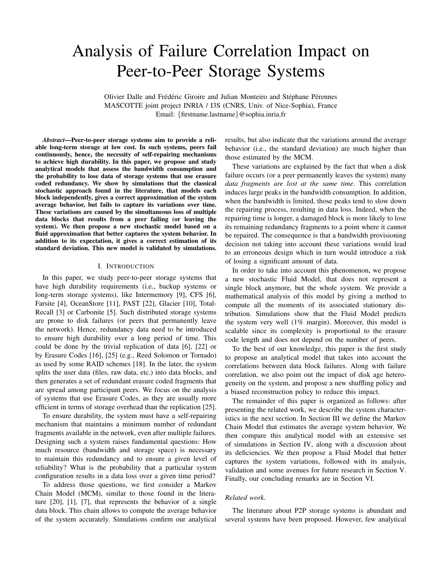# Analysis of Failure Correlation Impact on Peer-to-Peer Storage Systems

Olivier Dalle and Frédéric Giroire and Julian Monteiro and Stéphane Pérennes MASCOTTE joint project INRIA / I3S (CNRS, Univ. of Nice-Sophia), France Email: {firstname.lastname}@sophia.inria.fr

*Abstract*—Peer-to-peer storage systems aim to provide a reliable long-term storage at low cost. In such systems, peers fail continuously, hence, the necessity of self-repairing mechanisms to achieve high durability. In this paper, we propose and study analytical models that assess the bandwidth consumption and the probability to lose data of storage systems that use erasure coded redundancy. We show by simulations that the classical stochastic approach found in the literature, that models each block independently, gives a correct approximation of the system average behavior, but fails to capture its variations over time. These variations are caused by the simultaneous loss of multiple data blocks that results from a peer failing (or leaving the system). We then propose a new stochastic model based on a fluid approximation that better captures the system behavior. In addition to its expectation, it gives a correct estimation of its standard deviation. This new model is validated by simulations.

#### I. INTRODUCTION

In this paper, we study peer-to-peer storage systems that have high durability requirements (i.e., backup systems or long-term storage systems), like Intermemory [9], CFS [6], Farsite [4], OceanStore [11], PAST [22], Glacier [10], Total-Recall [3] or Carbonite [5]. Such distributed storage systems are prone to disk failures (or peers that permanently leave the network). Hence, redundancy data need to be introduced to ensure high durability over a long period of time. This could be done by the trivial replication of data [6], [22] or by Erasure Codes [16], [25] (e.g., Reed Solomon or Tornado) as used by some RAID schemes [18]. In the later, the system splits the user data (files, raw data, etc.) into data blocks, and then generates a set of redundant erasure coded fragments that are spread among participant peers. We focus on the analysis of systems that use Erasure Codes, as they are usually more efficient in terms of storage overhead than the replication [25].

To ensure durability, the system must have a self-repairing mechanism that maintains a minimum number of redundant fragments available in the network, even after multiple failures. Designing such a system raises fundamental questions: How much resource (bandwidth and storage space) is necessary to maintain this redundancy and to ensure a given level of reliability? What is the probability that a particular system configuration results in a data loss over a given time period?

To address those questions, we first consider a Markov Chain Model (MCM), similar to those found in the literature [20], [1], [7], that represents the behavior of a single data block. This chain allows to compute the average behavior of the system accurately. Simulations confirm our analytical results, but also indicate that the variations around the average behavior (i.e., the standard deviation) are much higher than those estimated by the MCM.

These variations are explained by the fact that when a disk failure occurs (or a peer permanently leaves the system) many *data fragments are lost at the same time*. This correlation induces large peaks in the bandwidth consumption. In addition, when the bandwidth is limited, those peaks tend to slow down the repairing process, resulting in data loss. Indeed, when the repairing time is longer, a damaged block is more likely to lose its remaining redundancy fragments to a point where it cannot be repaired. The consequence is that a bandwidth provisioning decision not taking into account these variations would lead to an erroneous design which in turn would introduce a risk of losing a significant amount of data.

In order to take into account this phenomenon, we propose a new stochastic Fluid Model, that does not represent a single block anymore, but the whole system. We provide a mathematical analysis of this model by giving a method to compute all the moments of its associated stationary distribution. Simulations show that the Fluid Model predicts the system very well (1% margin). Moreover, this model is scalable since its complexity is proportional to the erasure code length and does not depend on the number of peers.

To the best of our knowledge, this paper is the first study to propose an analytical model that takes into account the correlations between data block failures. Along with failure correlation, we also point out the impact of disk age heterogeneity on the system, and propose a new shuffling policy and a biased reconstruction policy to reduce this impact.

The remainder of this paper is organized as follows: after presenting the related work, we describe the system characteristics in the next section. In Section III we define the Markov Chain Model that estimates the average system behavior. We then compare this analytical model with an extensive set of simulations in Section IV, along with a discussion about its deficiencies. We then propose a Fluid Model that better captures the system variations, followed with its analysis, validation and some avenues for future research in Section V. Finally, our concluding remarks are in Section VI.

#### *Related work.*

The literature about P2P storage systems is abundant and several systems have been proposed. However, few analytical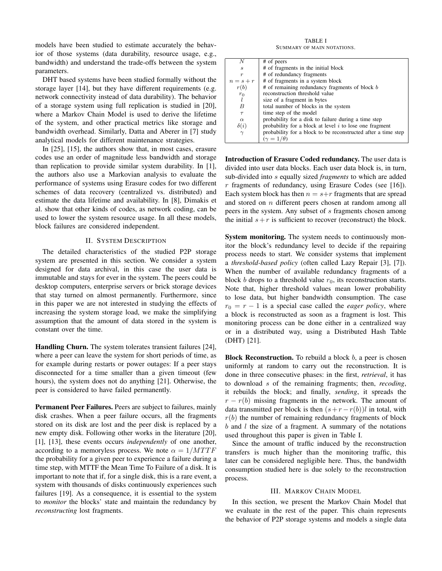models have been studied to estimate accurately the behavior of those systems (data durability, resource usage, e.g., bandwidth) and understand the trade-offs between the system parameters.

DHT based systems have been studied formally without the storage layer [14], but they have different requirements (e.g. network connectivity instead of data durability). The behavior of a storage system using full replication is studied in [20], where a Markov Chain Model is used to derive the lifetime of the system, and other practical metrics like storage and bandwidth overhead. Similarly, Datta and Aberer in [7] study analytical models for different maintenance strategies.

In [25], [15], the authors show that, in most cases, erasure codes use an order of magnitude less bandwidth and storage than replication to provide similar system durability. In [1], the authors also use a Markovian analysis to evaluate the performance of systems using Erasure codes for two different schemes of data recovery (centralized vs. distributed) and estimate the data lifetime and availability. In [8], Dimakis et al. show that other kinds of codes, as network coding, can be used to lower the system resource usage. In all these models, block failures are considered independent.

#### II. SYSTEM DESCRIPTION

The detailed characteristics of the studied P2P storage system are presented in this section. We consider a system designed for data archival, in this case the user data is immutable and stays for ever in the system. The peers could be desktop computers, enterprise servers or brick storage devices that stay turned on almost permanently. Furthermore, since in this paper we are not interested in studying the effects of increasing the system storage load, we make the simplifying assumption that the amount of data stored in the system is constant over the time.

Handling Churn. The system tolerates transient failures [24], where a peer can leave the system for short periods of time, as for example during restarts or power outages: If a peer stays disconnected for a time smaller than a given timeout (few hours), the system does not do anything [21]. Otherwise, the peer is considered to have failed permanently.

Permanent Peer Failures. Peers are subject to failures, mainly disk crashes. When a peer failure occurs, all the fragments stored on its disk are lost and the peer disk is replaced by a new empty disk. Following other works in the literature [20], [1], [13], these events occurs *independently* of one another, according to a memoryless process. We note  $\alpha = 1/MTTF$ the probability for a given peer to experience a failure during a time step, with MTTF the Mean Time To Failure of a disk. It is important to note that if, for a single disk, this is a rare event, a system with thousands of disks continuously experiences such failures [19]. As a consequence, it is essential to the system to *monitor* the blocks' state and maintain the redundancy by *reconstructing* lost fragments.

TABLE I SUMMARY OF MAIN NOTATIONS.

| N                | # of peers                                                    |
|------------------|---------------------------------------------------------------|
| S                | # of fragments in the initial block                           |
| $\boldsymbol{r}$ | # of redundancy fragments                                     |
| $n = s + r$      | # of fragments in a system block                              |
| r(b)             | # of remaining redundancy fragments of block b                |
| $r_0$            | reconstruction threshold value                                |
| l                | size of a fragment in bytes                                   |
| В                | total number of blocks in the system                          |
| $\tau$           | time step of the model                                        |
| $\alpha$         | probability for a disk to failure during a time step          |
| $\delta(i)$      | probability for a block at level $i$ to lose one fragment     |
| $\gamma$         | probability for a block to be reconstructed after a time step |
|                  | $(\gamma = 1/\theta)$                                         |

Introduction of Erasure Coded redundancy. The user data is divided into user data blocks. Each user data block is, in turn, sub-divided into s equally sized *fragments* to which are added  $r$  fragments of redundancy, using Erasure Codes (see [16]). Each system block has then  $n = s+r$  fragments that are spread and stored on  $n$  different peers chosen at random among all peers in the system. Any subset of s fragments chosen among the initial  $s+r$  is sufficient to recover (reconstruct) the block.

System monitoring. The system needs to continuously monitor the block's redundancy level to decide if the repairing process needs to start. We consider systems that implement a *threshold-based policy* (often called Lazy Repair [3], [7]). When the number of available redundancy fragments of a block b drops to a threshold value  $r_0$ , its reconstruction starts. Note that, higher threshold values mean lower probability to lose data, but higher bandwidth consumption. The case  $r_0 = r - 1$  is a special case called the *eager policy*, where a block is reconstructed as soon as a fragment is lost. This monitoring process can be done either in a centralized way or in a distributed way, using a Distributed Hash Table (DHT) [21].

**Block Reconstruction.** To rebuild a block  $b$ , a peer is chosen uniformly at random to carry out the reconstruction. It is done in three consecutive phases: in the first, *retrieval*, it has to download s of the remaining fragments; then, *recoding*, it rebuilds the block; and finally, *sending*, it spreads the  $r - r(b)$  missing fragments in the network. The amount of data transmitted per block is then  $(s+r-r(b))l$  in total, with  $r(b)$  the number of remaining redundancy fragments of block  $b$  and  $l$  the size of a fragment. A summary of the notations used throughout this paper is given in Table I.

Since the amount of traffic induced by the reconstruction transfers is much higher than the monitoring traffic, this later can be considered negligible here. Thus, the bandwidth consumption studied here is due solely to the reconstruction process.

#### III. MARKOV CHAIN MODEL

In this section, we present the Markov Chain Model that we evaluate in the rest of the paper. This chain represents the behavior of P2P storage systems and models a single data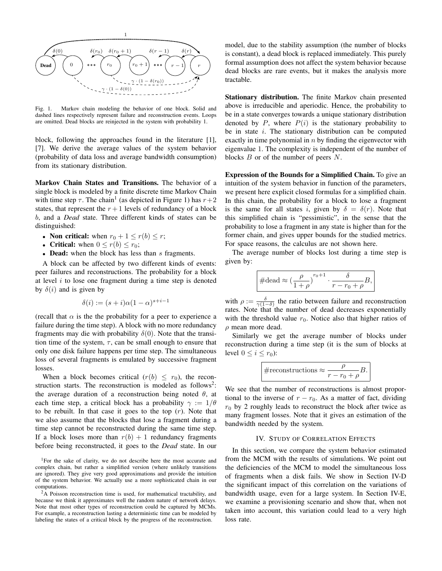

Fig. 1. Markov chain modeling the behavior of one block. Solid and dashed lines respectively represent failure and reconstruction events. Loops are omitted. Dead blocks are reinjected in the system with probability 1.

block, following the approaches found in the literature [1], [7]. We derive the average values of the system behavior (probability of data loss and average bandwidth consumption) from its stationary distribution.

Markov Chain States and Transitions. The behavior of a single block is modeled by a finite discrete time Markov Chain with time step  $\tau$ . The chain<sup>1</sup> (as depicted in Figure 1) has  $r+2$ states, that represent the  $r+1$  levels of redundancy of a block b, and a *Dead* state. Three different kinds of states can be distinguished:

- Non critical: when  $r_0 + 1 \le r(b) \le r$ ;
- Critical: when  $0 \le r(b) \le r_0$ ;
- Dead: when the block has less than  $s$  fragments.

A block can be affected by two different kinds of events: peer failures and reconstructions. The probability for a block at level  $i$  to lose one fragment during a time step is denoted by  $\delta(i)$  and is given by

$$
\delta(i) := (s+i)\alpha (1-\alpha)^{s+i-1}
$$

(recall that  $\alpha$  is the the probability for a peer to experience a failure during the time step). A block with no more redundancy fragments may die with probability  $\delta(0)$ . Note that the transition time of the system,  $\tau$ , can be small enough to ensure that only one disk failure happens per time step. The simultaneous loss of several fragments is emulated by successive fragment losses.

When a block becomes critical  $(r(b) \leq r_0)$ , the reconstruction starts. The reconstruction is modeled as follows<sup>2</sup>: the average duration of a reconstruction being noted  $\theta$ , at each time step, a critical block has a probability  $\gamma := 1/\theta$ to be rebuilt. In that case it goes to the top  $(r)$ . Note that we also assume that the blocks that lose a fragment during a time step cannot be reconstructed during the same time step. If a block loses more than  $r(b)+1$  redundancy fragments before being reconstructed, it goes to the *Dead* state. In our

model, due to the stability assumption (the number of blocks is constant), a dead block is replaced immediately. This purely formal assumption does not affect the system behavior because dead blocks are rare events, but it makes the analysis more tractable.

Stationary distribution. The finite Markov chain presented above is irreducible and aperiodic. Hence, the probability to be in a state converges towards a unique stationary distribution denoted by  $P$ , where  $P(i)$  is the stationary probability to be in state  $i$ . The stationary distribution can be computed exactly in time polynomial in  $n$  by finding the eigenvector with eigenvalue 1. The complexity is independent of the number of blocks  $B$  or of the number of peers  $N$ .

Expression of the Bounds for a Simplified Chain. To give an intuition of the system behavior in function of the parameters, we present here explicit closed formulas for a simplified chain. In this chain, the probability for a block to lose a fragment is the same for all states i, given by  $\delta = \delta(r)$ . Note that this simplified chain is "pessimistic", in the sense that the probability to lose a fragment in any state is higher than for the former chain, and gives upper bounds for the studied metrics. For space reasons, the calculus are not shown here.

The average number of blocks lost during a time step is given by:

$$
\#\text{dead} \approx \big(\frac{\rho}{1+\rho}\big)^{r_0+1} \cdot \frac{\delta}{r-r_0+\rho} B,
$$

with  $\rho := \frac{\delta}{\gamma(1-\delta)}$  the ratio between failure and reconstruction rates. Note that the number of dead decreases exponentially with the threshold value  $r_0$ . Notice also that higher ratios of  $\rho$  mean more dead.

Similarly we get the average number of blocks under reconstruction during a time step (it is the sum of blocks at level  $0 \leq i \leq r_0$ ):

#reconstructions 
$$
\approx \frac{\rho}{r - r_0 + \rho} B
$$
.

We see that the number of reconstructions is almost proportional to the inverse of  $r - r_0$ . As a matter of fact, dividing  $r_0$  by 2 roughly leads to reconstruct the block after twice as many fragment losses. Note that it gives an estimation of the bandwidth needed by the system.

#### IV. STUDY OF CORRELATION EFFECTS

In this section, we compare the system behavior estimated from the MCM with the results of simulations. We point out the deficiencies of the MCM to model the simultaneous loss of fragments when a disk fails. We show in Section IV-D the significant impact of this correlation on the variations of bandwidth usage, even for a large system. In Section IV-E, we examine a provisioning scenario and show that, when not taken into account, this variation could lead to a very high loss rate.

<sup>&</sup>lt;sup>1</sup>For the sake of clarity, we do not describe here the most accurate and complex chain, but rather a simplified version (where unlikely transitions are ignored). They give very good approximations and provide the intuition of the system behavior. We actually use a more sophisticated chain in our computations.

<sup>&</sup>lt;sup>2</sup>A Poisson reconstruction time is used, for mathematical tractability, and because we think it approximates well the random nature of network delays. Note that most other types of reconstruction could be captured by MCMs. For example, a reconstruction lasting a deterministic time can be modeled by labeling the states of a critical block by the progress of the reconstruction.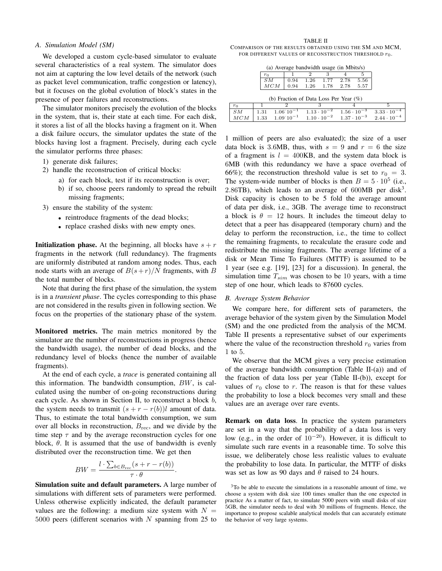#### *A. Simulation Model (SM)*

We developed a custom cycle-based simulator to evaluate several characteristics of a real system. The simulator does not aim at capturing the low level details of the network (such as packet level communication, traffic congestion or latency), but it focuses on the global evolution of block's states in the presence of peer failures and reconstructions.

The simulator monitors precisely the evolution of the blocks in the system, that is, their state at each time. For each disk, it stores a list of all the blocks having a fragment on it. When a disk failure occurs, the simulator updates the state of the blocks having lost a fragment. Precisely, during each cycle the simulator performs three phases:

- 1) generate disk failures;
- 2) handle the reconstruction of critical blocks:
	- a) for each block, test if its reconstruction is over;
	- b) if so, choose peers randomly to spread the rebuilt missing fragments;
- 3) ensure the stability of the system:
	- reintroduce fragments of the dead blocks;
	- replace crashed disks with new empty ones.

**Initialization phase.** At the beginning, all blocks have  $s + r$ fragments in the network (full redundancy). The fragments are uniformly distributed at random among nodes. Thus, each node starts with an average of  $B(s+r)/N$  fragments, with B the total number of blocks.

Note that during the first phase of the simulation, the system is in a *transient phase*. The cycles corresponding to this phase are not considered in the results given in following section. We focus on the properties of the stationary phase of the system.

Monitored metrics. The main metrics monitored by the simulator are the number of reconstructions in progress (hence the bandwidth usage), the number of dead blocks, and the redundancy level of blocks (hence the number of available fragments).

At the end of each cycle, a *trace* is generated containing all this information. The bandwidth consumption, BW, is calculated using the number of on-going reconstructions during each cycle. As shown in Section II, to reconstruct a block  $b$ , the system needs to transmit  $(s + r - r(b))l$  amount of data. Thus, to estimate the total bandwidth consumption, we sum over all blocks in reconstruction,  $B_{\text{rec}}$ , and we divide by the time step  $\tau$  and by the average reconstruction cycles for one block,  $\theta$ . It is assumed that the use of bandwidth is evenly distributed over the reconstruction time. We get then

$$
BW = \frac{l \cdot \sum_{b \in B_{\text{rec}}}(s + r - r(b))}{\tau \cdot \theta}.
$$

Simulation suite and default parameters. A large number of simulations with different sets of parameters were performed. Unless otherwise explicitly indicated, the default parameter values are the following: a medium size system with  $N =$  $5000$  peers (different scenarios with N spanning from 25 to

TABLE II COMPARISON OF THE RESULTS OBTAINED USING THE SM AND MCM, FOR DIFFERENT VALUES OF RECONSTRUCTION THRESHOLD  $r_0$ .

| (a) Average bandwidth usage (in Mbits/s)<br>$r_0$ |      |      |      |      |      |  |  |
|---------------------------------------------------|------|------|------|------|------|--|--|
| SM                                                | 0.94 | 1.26 | 1.77 | 2.78 | 5.56 |  |  |
| MCM                                               | 0.94 | 1.26 | 1.78 | 2.78 | 5.57 |  |  |

| (b) Fraction of Data Loss Per Year $(\%)$ |      |                      |                      |                                                                                     |                      |  |  |
|-------------------------------------------|------|----------------------|----------------------|-------------------------------------------------------------------------------------|----------------------|--|--|
| $r_0$                                     |      |                      |                      |                                                                                     |                      |  |  |
| SМ                                        | 1.31 |                      |                      | $1.06 \cdot 10^{-1}$ $1.13 \cdot 10^{-2}$ $1.56 \cdot 10^{-3}$ $3.33 \cdot 10^{-4}$ |                      |  |  |
| MCM                                       | 1.33 | $1.09 \cdot 10^{-1}$ | $1.10 \cdot 10^{-2}$ | $1.37 \cdot 10^{-3}$                                                                | $2.44 \cdot 10^{-4}$ |  |  |

1 million of peers are also evaluated); the size of a user data block is 3.6MB, thus, with  $s = 9$  and  $r = 6$  the size of a fragment is  $l = 400KB$ , and the system data block is 6MB (with this redundancy we have a space overhead of 66%); the reconstruction threshold value is set to  $r_0 = 3$ . The system-wide number of blocks is then  $B = 5 \cdot 10^5$  (i.e., 2.86TB), which leads to an average of  $600MB$  per disk<sup>3</sup>. Disk capacity is chosen to be 5 fold the average amount of data per disk, i.e., 3GB. The average time to reconstruct a block is  $\theta = 12$  hours. It includes the timeout delay to detect that a peer has disappeared (temporary churn) and the delay to perform the reconstruction, i.e., the time to collect the remaining fragments, to recalculate the erasure code and redistribute the missing fragments. The average lifetime of a disk or Mean Time To Failures (MTTF) is assumed to be 1 year (see e.g. [19], [23] for a discussion). In general, the simulation time  $T_{sim}$  was chosen to be 10 years, with a time step of one hour, which leads to 87600 cycles.

#### *B. Average System Behavior*

We compare here, for different sets of parameters, the average behavior of the system given by the Simulation Model (SM) and the one predicted from the analysis of the MCM. Table II presents a representative subset of our experiments where the value of the reconstruction threshold  $r_0$  varies from 1 to 5.

We observe that the MCM gives a very precise estimation of the average bandwidth consumption (Table II-(a)) and of the fraction of data loss per year (Table II-(b)), except for values of  $r_0$  close to r. The reason is that for these values the probability to lose a block becomes very small and these values are an average over rare events.

Remark on data loss. In practice the system parameters are set in a way that the probability of a data loss is very low (e.g., in the order of  $10^{-20}$ ). However, it is difficult to simulate such rare events in a reasonable time. To solve this issue, we deliberately chose less realistic values to evaluate the probability to lose data. In particular, the MTTF of disks was set as low as 90 days and  $\theta$  raised to 24 hours.

<sup>3</sup>To be able to execute the simulations in a reasonable amount of time, we choose a system with disk size 100 times smaller than the one expected in practice As a matter of fact, to simulate 5000 peers with small disks of size 5GB, the simulator needs to deal with 30 millions of fragments. Hence, the importance to propose scalable analytical models that can accurately estimate the behavior of very large systems.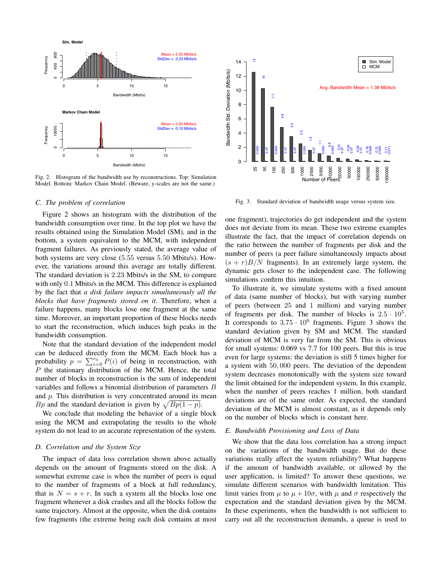

Fig. 2. Histogram of the bandwidth use by reconstructions. Top: Simulation Model. Bottom: Markov Chain Model. (Beware, y-scales are not the same.)

#### *C. The problem of correlation*

Figure 2 shows an histogram with the distribution of the bandwidth consumption over time. In the top plot we have the results obtained using the Simulation Model (SM), and in the bottom, a system equivalent to the MCM, with independent fragment failures. As previously stated, the average value of both systems are very close (5.55 versus 5.50 Mbits/s). However, the variations around this average are totally different. The standard deviation is 2.23 Mbits/s in the SM, to compare with only 0.1 Mbits/s in the MCM. This difference is explained by the fact that *a disk failure impacts simultaneously all the blocks that have fragments stored on it*. Therefore, when a failure happens, many blocks lose one fragment at the same time. Moreover, an important proportion of these blocks needs to start the reconstruction, which induces high peaks in the bandwidth consumption.

Note that the standard deviation of the independent model can be deduced directly from the MCM. Each block has a probability  $p = \sum_{i=0}^{r_0} P(i)$  of being in reconstruction, with  $P$  the stationary distribution of the MCM. Hence, the total number of blocks in reconstruction is the sum of independent variables and follows a binomial distribution of parameters B and  $p$ . This distribution is very concentrated around its mean Bp and the standard deviation is given by  $\sqrt{Bp(1-p)}$ .

We conclude that modeling the behavior of a single block using the MCM and extrapolating the results to the whole system do not lead to an accurate representation of the system.

#### *D. Correlation and the System Size*

The impact of data loss correlation shown above actually depends on the amount of fragments stored on the disk. A somewhat extreme case is when the number of peers is equal to the number of fragments of a block at full redundancy, that is  $N = s + r$ . In such a system all the blocks lose one fragment whenever a disk crashes and all the blocks follow the same trajectory. Almost at the opposite, when the disk contains few fragments (the extreme being each disk contains at most



Fig. 3. Standard deviation of bandwidth usage versus system size.

one fragment), trajectories do get independent and the system does not deviate from its mean. These two extreme examples illustrate the fact, that the impact of correlation depends on the ratio between the number of fragments per disk and the number of peers (a peer failure simultaneously impacts about  $(s + r)B/N$  fragments). In an extremely large system, the dynamic gets closer to the independent case. The following simulations confirm this intuition.

To illustrate it, we simulate systems with a fixed amount of data (same number of blocks), but with varying number of peers (between 25 and 1 million) and varying number of fragments per disk. The number of blocks is  $2.5 \cdot 10^5$ . It corresponds to  $3.75 \cdot 10^6$  fragments. Figure 3 shows the standard deviation given by SM and MCM. The standard deviation of MCM is very far from the SM. This is obvious for small systems: 0.069 vs 7.7 for 100 peers. But this is true even for large systems: the deviation is still 5 times higher for a system with 50, 000 peers. The deviation of the dependent system decreases monotonically with the system size toward the limit obtained for the independent system. In this example, when the number of peers reaches 1 million, both standard deviations are of the same order. As expected, the standard deviation of the MCM is almost constant, as it depends only on the number of blocks which is constant here.

#### *E. Bandwidth Provisioning and Loss of Data*

We show that the data loss correlation has a strong impact on the variations of the bandwidth usage. But do these variations really affect the system reliability? What happens if the amount of bandwidth available, or allowed by the user application, is limited? To answer these questions, we simulate different scenarios with bandwidth limitation. This limit varies from  $\mu$  to  $\mu + 10\sigma$ , with  $\mu$  and  $\sigma$  respectively the expectation and the standard deviation given by the MCM. In these experiments, when the bandwidth is not sufficient to carry out all the reconstruction demands, a queue is used to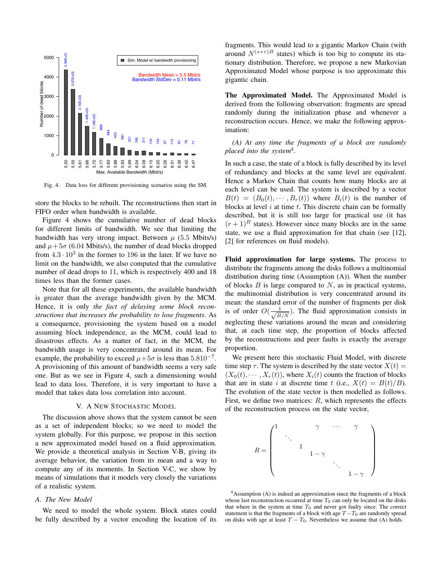

Fig. 4. Data loss for different provisioning scenarios using the SM.

store the blocks to be rebuilt. The reconstructions then start in FIFO order when bandwidth is available.

Figure 4 shows the cumulative number of dead blocks for different limits of bandwidth. We see that limiting the bandwidth has very strong impact. Between  $\mu$  (5.5 Mbits/s) and  $\mu + 5\sigma$  (6.04 Mbits/s), the number of dead blocks dropped from  $4.3 \cdot 10^3$  in the former to 196 in the later. If we have no limit on the bandwidth, we also computed that the cumulative number of dead drops to 11, which is respectively 400 and 18 times less than the former cases.

Note that for all these experiments, the available bandwidth is greater than the average bandwidth given by the MCM. Hence, it is only *the fact of delaying some block reconstructions that increases the probability to lose fragments*. As a consequence, provisioning the system based on a model assuming block independence, as the MCM, could lead to disastrous effects. As a matter of fact, in the MCM, the bandwidth usage is very concentrated around its mean. For example, the probability to exceed  $\mu+5\sigma$  is less than  $5.810^{-7}$ . A provisioning of this amount of bandwidth seems a very safe one. But as we see in Figure 4, such a dimensioning would lead to data loss. Therefore, it is very important to have a model that takes data loss correlation into account.

#### V. A NEW STOCHASTIC MODEL

The discussion above shows that the system cannot be seen as a set of independent blocks; so we need to model the system globally. For this purpose, we propose in this section a new approximated model based on a fluid approximation. We provide a theoretical analysis in Section V-B, giving its average behavior, the variation from its mean and a way to compute any of its moments. In Section V-C, we show by means of simulations that it models very closely the variations of a realistic system.

#### *A. The New Model*

We need to model the whole system. Block states could be fully described by a vector encoding the location of its fragments. This would lead to a gigantic Markov Chain (with around  $N^{(s+r)B}$  states) which is too big to compute its stationary distribution. Therefore, we propose a new Markovian Approximated Model whose purpose is too approximate this gigantic chain.

The Approximated Model. The Approximated Model is derived from the following observation: fragments are spread randomly during the initialization phase and whenever a reconstruction occurs. Hence, we make the following approximation:

*(A) At any time the fragments of a block are randomly placed into the system*4.

In such a case, the state of a block is fully described by its level of redundancy and blocks at the same level are equivalent. Hence a Markov Chain that counts how many blocks are at each level can be used. The system is described by a vector  $B(t) = (B_0(t), \cdots, B_r(t))$  where  $B_i(t)$  is the number of blocks at level  $i$  at time  $t$ . This discrete chain can be formally described, but it is still too large for practical use (it has  $(r+1)^B$  states). However since many blocks are in the same state, we use a fluid approximation for that chain (see [12], [2] for references on fluid models).

Fluid approximation for large systems. The process to distribute the fragments among the disks follows a multinomial distribution during time (Assumption (A)). When the number of blocks  $B$  is large compared to  $N$ , as in practical systems, the multinomial distribution is very concentrated around its mean: the standard error of the number of fragments per disk is of order  $O(\frac{1}{\sqrt{B/N}})$ . The fluid approximation consists in neglecting these variations around the mean and considering that, at each time step, the proportion of blocks affected by the reconstructions and peer faults is exactly the average proportion.

We present here this stochastic Fluid Model, with discrete time step  $\tau$ . The system is described by the state vector  $X(t) =$  $(X_0(t), \cdots, X_r(t))$ , where  $X_i(t)$  counts the fraction of blocks that are in state i at discrete time t (i.e.,  $X(t) = B(t)/B$ ). The evolution of the state vector is then modelled as follows. First, we define two matrices:  $R$ , which represents the effects of the reconstruction process on the state vector,



<sup>4</sup>Assumption (A) is indeed an approximation since the fragments of a block whose last reconstruction occurred at time  $T_0$  can only be located on the disks that where in the system at time  $T_0$  and never got faulty since. The correct statement is that the fragments of a block with age  $T - T_0$  are randomly spread on disks with age at least  $T - T_0$ . Nevertheless we assume that (A) holds.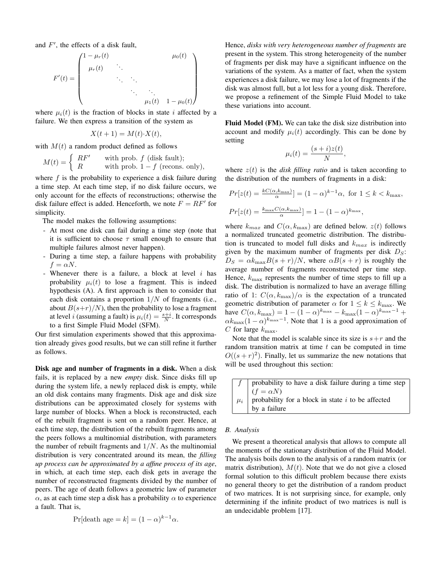and  $F'$ , the effects of a disk fault,

$$
F'(t) = \begin{pmatrix} 1 - \mu_r(t) & & & & \mu_0(t) \\ \mu_r(t) & \ddots & & & \\ & \ddots & \ddots & & \\ & & \ddots & \ddots & \\ & & & \mu_1(t) & 1 - \mu_0(t) \end{pmatrix}
$$

where  $\mu_i(t)$  is the fraction of blocks in state i affected by a failure. We then express a transition of the system as

$$
X(t+1) = M(t) \cdot X(t),
$$

with  $M(t)$  a random product defined as follows

$$
M(t) = \begin{cases} RF' & \text{with prob. } f \text{ (disk fault)}; \\ R & \text{with prob. } 1 - f \text{ (recons. only)}, \end{cases}
$$

where  $f$  is the probability to experience a disk failure during a time step. At each time step, if no disk failure occurs, we only account for the effects of reconstructions; otherwise the disk failure effect is added. Henceforth, we note  $F = RF'$  for simplicity.

The model makes the following assumptions:

- At most one disk can fail during a time step (note that it is sufficient to choose  $\tau$  small enough to ensure that multiple failures almost never happen).
- During a time step, a failure happens with probability  $f = \alpha N$ .
- Whenever there is a failure, a block at level  $i$  has probability  $\mu_i(t)$  to lose a fragment. This is indeed hypothesis (A). A first approach is then to consider that each disk contains a proportion  $1/N$  of fragments (i.e., about  $B(s+r)/N$ , then the probability to lose a fragment at level *i* (assuming a fault) is  $\mu_i(t) = \frac{s+i}{N}$ . It corresponds to a first Simple Fluid Model (SFM).

Our first simulation experiments showed that this approximation already gives good results, but we can still refine it further as follows.

Disk age and number of fragments in a disk. When a disk fails, it is replaced by a new *empty* disk. Since disks fill up during the system life, a newly replaced disk is empty, while an old disk contains many fragments. Disk age and disk size distributions can be approximated closely for systems with large number of blocks. When a block is reconstructed, each of the rebuilt fragment is sent on a random peer. Hence, at each time step, the distribution of the rebuilt fragments among the peers follows a multinomial distribution, with parameters the number of rebuilt fragments and  $1/N$ . As the multinomial distribution is very concentrated around its mean, the *filling up process can be approximated by a affine process of its age*, in which, at each time step, each disk gets in average the number of reconstructed fragments divided by the number of peers. The age of death follows a geometric law of parameter  $\alpha$ , as at each time step a disk has a probability  $\alpha$  to experience a fault. That is,

$$
\Pr[\text{death age} = k] = (1 - \alpha)^{k-1} \alpha.
$$

Hence, *disks with very heterogeneous number of fragments* are present in the system. This strong heterogeneity of the number of fragments per disk may have a significant influence on the variations of the system. As a matter of fact, when the system experiences a disk failure, we may lose a lot of fragments if the disk was almost full, but a lot less for a young disk. Therefore, we propose a refinement of the Simple Fluid Model to take these variations into account.

Fluid Model (FM). We can take the disk size distribution into account and modify  $\mu_i(t)$  accordingly. This can be done by setting

$$
\mu_i(t) = \frac{(s+i)z(t)}{N},
$$

where  $z(t)$  is the *disk filling ratio* and is taken according to the distribution of the numbers of fragments in a disk:

$$
Pr[z(t) = \frac{kC(\alpha, k_{\text{max}})}{\alpha}] = (1 - \alpha)^{k-1}\alpha, \text{ for } 1 \le k < k_{\text{max}},
$$
  

$$
Pr[z(t) = \frac{k_{\text{max}}C(\alpha, k_{\text{max}})}{\alpha}] = 1 - (1 - \alpha)^{k_{\text{max}}},
$$

where  $k_{max}$  and  $C(\alpha, k_{max})$  are defined below.  $z(t)$  follows a normalized truncated geometric distribution. The distribution is truncated to model full disks and  $k_{max}$  is indirectly given by the maximum number of fragments per disk  $D<sub>S</sub>$ :  $D_S = \alpha k_{\text{max}} B(s + r) / N$ , where  $\alpha B(s + r)$  is roughly the average number of fragments reconstructed per time step. Hence,  $k_{\text{max}}$  represents the number of time steps to fill up a disk. The distribution is normalized to have an average filling ratio of 1:  $C(\alpha, k_{\text{max}})/\alpha$  is the expectation of a truncated geometric distribution of parameter  $\alpha$  for  $1 \leq k \leq k_{\text{max}}$ . We have  $C(\alpha, k_{\text{max}})=1 - (1 - \alpha)^{k_{\text{max}}} - k_{\text{max}}(1 - \alpha)^{k_{\text{max}}-1} +$  $\alpha k_{\text{max}}(1-\alpha)^{k_{\text{max}}-1}$ . Note that 1 is a good approximation of C for large  $k_{\text{max}}$ .

Note that the model is scalable since its size is  $s+r$  and the random transition matrix at time  $t$  can be computed in time  $O((s+r)^2)$ . Finally, let us summarize the new notations that will be used throughout this section:

| $\mid f \mid$ probability to have a disk failure during a time step |
|---------------------------------------------------------------------|
| $(f = \alpha N)$                                                    |
| $\mu_i$   probability for a block in state i to be affected         |
| by a failure                                                        |

#### *B. Analysis*

We present a theoretical analysis that allows to compute all the moments of the stationary distribution of the Fluid Model. The analysis boils down to the analysis of a random matrix (or matrix distribution),  $M(t)$ . Note that we do not give a closed formal solution to this difficult problem because there exists no general theory to get the distribution of a random product of two matrices. It is not surprising since, for example, only determining if the infinite product of two matrices is null is an undecidable problem [17].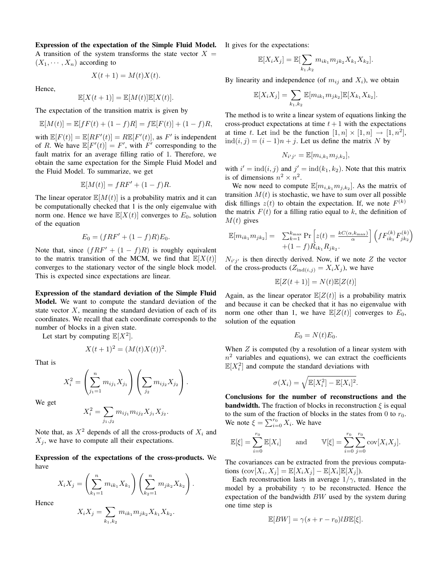Expression of the expectation of the Simple Fluid Model. A transition of the system transforms the state vector  $X =$  $(X_1, \dots, X_n)$  according to

 $X(t + 1) = M(t)X(t).$ 

Hence,

$$
\mathbb{E}[X(t+1)] = \mathbb{E}[M(t)]\mathbb{E}[X(t)].
$$

The expectation of the transition matrix is given by

$$
\mathbb{E}[M(t)] = \mathbb{E}[fF(t) + (1 - f)R] = f\mathbb{E}[F(t)] + (1 - f)R,
$$

with  $\mathbb{E}[F(t)] = \mathbb{E}[RF'(t)] = R\mathbb{E}[F'(t)],$  as  $F'$  is independent of R. We have  $\mathbb{E}[F'(t)] = F'$ , with  $F'$  corresponding to the fault matrix for an average filling ratio of 1. Therefore, we obtain the same expectation for the Simple Fluid Model and the Fluid Model. To summarize, we get

$$
\mathbb{E}[M(t)] = fRF' + (1-f)R.
$$

The linear operator  $\mathbb{E}[M(t)]$  is a probability matrix and it can be computationally checked that 1 is the only eigenvalue with norm one. Hence we have  $\mathbb{E}[X(t)]$  converges to  $E_0$ , solution of the equation

$$
E_0 = (fRF' + (1-f)R)E_0.
$$

Note that, since  $(fRF' + (1 - f)R)$  is roughly equivalent to the matrix transition of the MCM, we find that  $\mathbb{E}[X(t)]$ converges to the stationary vector of the single block model. This is expected since expectations are linear.

Expression of the standard deviation of the Simple Fluid Model. We want to compute the standard deviation of the state vector  $X$ , meaning the standard deviation of each of its coordinates. We recall that each coordinate corresponds to the number of blocks in a given state.

Let start by computing  $\mathbb{E}[X^2]$ .

$$
X(t+1)^2 = (M(t)X(t))^2.
$$

That is

$$
X_i^2 = \left(\sum_{j_1=1}^n m_{ij_1} X_{j_1}\right) \left(\sum_{j_2} m_{ij_2} X_{j_2}\right).
$$

We get

$$
X_i^2 = \sum_{j_1, j_2} m_{ij_1} m_{ij_2} X_{j_1} X_{j_2}.
$$

Note that, as  $X^2$  depends of all the cross-products of  $X_i$  and  $X_i$ , we have to compute all their expectations.

Expression of the expectations of the cross-products. We have

$$
X_i X_j = \left(\sum_{k_1=1}^n m_{ik_1} X_{k_1}\right) \left(\sum_{k_2=1}^n m_{jk_2} X_{k_2}\right).
$$

Hence

$$
X_i X_j = \sum_{k_1, k_2} m_{ik_1} m_{jk_2} X_{k_1} X_{k_2}.
$$

It gives for the expectations:

$$
\mathbb{E}[X_i X_j] = \mathbb{E}[\sum_{k_1,k_2} m_{ik_1} m_{jk_2} X_{k_1} X_{k_2}].
$$

By linearity and independence (of  $m_{ij}$  and  $X_i$ ), we obtain

$$
\mathbb{E}[X_i X_j] = \sum_{k_1, k_2} \mathbb{E}[m_{ik_1} m_{jk_2}] \mathbb{E}[X_{k_1} X_{k_2}].
$$

The method is to write a linear system of equations linking the cross-product expectations at time  $t + 1$  with the expectations at time t. Let ind be the function  $[1, n] \times [1, n] \rightarrow [1, n^2]$ ,  $\text{ind}(i, j) = (i - 1)n + j$ . Let us define the matrix N by

$$
N_{i'j'} = \mathbb{E}[m_{i,k_1}m_{j,k_2}],
$$

with  $i' = \text{ind}(i, j)$  and  $j' = \text{ind}(k_1, k_2)$ . Note that this matrix is of dimensions  $n^2 \times n^2$ .

We now need to compute  $\mathbb{E}[m_{i,k_1}m_{j,k_2}].$  As the matrix of transition  $M(t)$  is stochastic, we have to sum over all possible disk fillings  $z(t)$  to obtain the expectation. If, we note  $F^{(k)}$ the matrix  $F(t)$  for a filling ratio equal to k, the definition of  $M(t)$  gives

$$
\mathbb{E}[m_{ik_1}m_{jk_2}] = \sum_{k=1}^{k_{\text{max}}} \Pr\left[z(t) = \frac{kC(\alpha, k_{\text{max}})}{\alpha}\right] \left(fF_{ik_1}^{(k)}F_{jk_2}^{(k)}\right) + (1-f)R_{ik_1}R_{jk_2}.
$$

 $N_{i'j'}$  is then directly derived. Now, if we note Z the vector of the cross-products  $(Z_{ind(i,j)} = X_i X_j)$ , we have

$$
\mathbb{E}[Z(t+1)] = N(t)\mathbb{E}[Z(t)]
$$

Again, as the linear operator  $\mathbb{E}[Z(t)]$  is a probability matrix and because it can be checked that it has no eigenvalue with norm one other than 1, we have  $\mathbb{E}[Z(t)]$  converges to  $E_0$ , solution of the equation

$$
E_0 = N(t)E_0.
$$

When  $Z$  is computed (by a resolution of a linear system with  $n^2$  variables and equations), we can extract the coefficients  $\mathbb{E}[X_i^2]$  and compute the standard deviations with

$$
\sigma(X_i) = \sqrt{\mathbb{E}[X_i^2] - \mathbb{E}[X_i]^2}.
$$

Conclusions for the number of reconstructions and the **bandwidth.** The fraction of blocks in reconstruction  $\xi$  is equal to the sum of the fraction of blocks in the states from 0 to  $r_0$ . We note  $\xi = \sum_{i=0}^{r_0} X_i$ . We have

$$
\mathbb{E}[\xi] = \sum_{i=0}^{r_0} \mathbb{E}[X_i] \quad \text{and} \quad \mathbb{V}[\xi] = \sum_{i=0}^{r_0} \sum_{j=0}^{r_0} \text{cov}[X_i X_j].
$$

The covariances can be extracted from the previous computations  $(\text{cov}[X_i, X_j] = \mathbb{E}[X_iX_j] - \mathbb{E}[X_i]\mathbb{E}[X_j]).$ 

Each reconstruction lasts in average  $1/\gamma$ , translated in the model by a probability  $\gamma$  to be reconstructed. Hence the expectation of the bandwidth  $BW$  used by the system during one time step is

$$
\mathbb{E}[BW] = \gamma(s+r-r_0)lB\mathbb{E}[\xi].
$$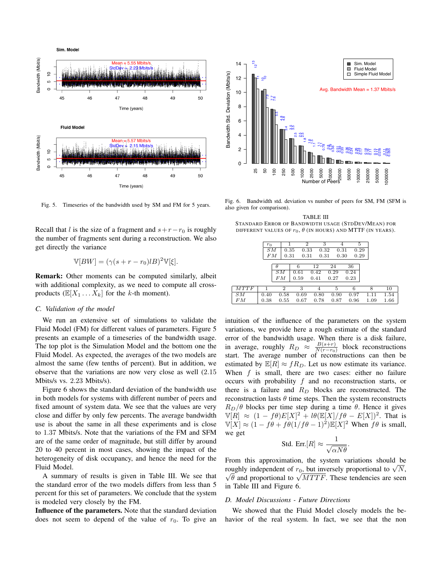

Fig. 5. Timeseries of the bandwidth used by SM and FM for 5 years.

Recall that l is the size of a fragment and  $s+r-r_0$  is roughly the number of fragments sent during a reconstruction. We also get directly the variance

$$
\mathbb{V}[BW] = (\gamma(s+r-r_0)lB)^2 \mathbb{V}[\xi].
$$

Remark: Other moments can be computed similarly, albeit with additional complexity, as we need to compute all crossproducts  $(\mathbb{E}[X_1 \dots X_k])$  for the k-th moment).

#### *C. Validation of the model*

We run an extensive set of simulations to validate the Fluid Model (FM) for different values of parameters. Figure 5 presents an example of a timeseries of the bandwidth usage. The top plot is the Simulation Model and the bottom one the Fluid Model. As expected, the averages of the two models are almost the same (few tenths of percent). But in addition, we observe that the variations are now very close as well (2.15 Mbits/s vs. 2.23 Mbits/s).

Figure 6 shows the standard deviation of the bandwidth use in both models for systems with different number of peers and fixed amount of system data. We see that the values are very close and differ by only few percents. The average bandwidth use is about the same in all these experiments and is close to 1.37 Mbits/s. Note that the variations of the FM and SFM are of the same order of magnitude, but still differ by around 20 to 40 percent in most cases, showing the impact of the heterogeneity of disk occupancy, and hence the need for the Fluid Model.

A summary of results is given in Table III. We see that the standard error of the two models differs from less than 5 percent for this set of parameters. We conclude that the system is modeled very closely by the FM.

Influence of the parameters. Note that the standard deviation does not seem to depend of the value of  $r_0$ . To give an



Fig. 6. Bandwidth std. deviation vs number of peers for SM, FM (SFM is also given for comparison).

TABLE III STANDARD ERROR OF BANDWIDTH USAGE (STDDEV/MEAN) FOR DIFFERENT VALUES OF  $r_0$ ,  $\theta$  (IN HOURS) AND MTTF (IN YEARS).

|      | $r_0$ |                | 2    | 3    | 4    | 5    |      |      |
|------|-------|----------------|------|------|------|------|------|------|
|      | SМ    | 0.35           | 0.33 | 0.32 | 0.31 | 0.29 |      |      |
|      | FМ    | 0.31           | 0.31 | 0.31 | 0.30 | 0.29 |      |      |
|      |       |                |      |      |      |      |      |      |
|      |       | θ              | 6    | 12   | 24   | 36   |      |      |
|      |       | SM             | 0.61 | 0.42 | 0.29 | 0.24 |      |      |
|      |       | FМ             | 0.59 | 0.41 | 0.27 | 0.23 |      |      |
|      |       |                |      |      |      |      |      |      |
| MTTF |       | $\overline{2}$ | 3    | 4    | 5    | 6    | 8    | 10   |
| SM   | 0.40  | 0.58           | 0.69 | 0.80 | 0.90 | 0.97 | 1.11 | 1.54 |
| FM   | 0.38  | 0.55           | 0.67 | 0.78 | 0.87 | 0.96 | 1.09 | 1.66 |
|      |       |                |      |      |      |      |      |      |

intuition of the influence of the parameters on the system variations, we provide here a rough estimate of the standard error of the bandwidth usage. When there is a disk failure, in average, roughly  $R_D \approx \frac{B(s+r)}{N(r-r_0)}$  block reconstructions start. The average number of reconstructions can then be estimated by  $\mathbb{E}[R] \approx fR_D$ . Let us now estimate its variance. When  $f$  is small, there are two cases: either no failure occurs with probability  $f$  and no reconstruction starts, or there is a failure and  $R_D$  blocks are reconstructed. The reconstruction lasts  $\theta$  time steps. Then the system reconstructs  $R_D/\theta$  blocks per time step during a time  $\theta$ . Hence it gives  $\mathbb{V}[R] \approx (1 - f\theta)E[X]^2 + l\theta(\mathbb{E}[X]/f\theta - E[X])^2$ . That is  $\mathbb{V}[X] \approx (1 - f\theta + f\theta(1/f\theta - 1)^2)\mathbb{E}[X]^2$  When  $f\theta$  is small, we get

$$
\text{Std. Err.}[R] \approx \frac{1}{\sqrt{\alpha N\theta}}.
$$

From this approximation, the system variations should be roughly independent of  $r_0$ , but inversely proportional to  $\sqrt{N}$ ,  $\sqrt{\theta}$  and proportional to  $\sqrt{MTTF}$ . These tendencies are seen in Table III and Figure 6.

#### *D. Model Discussions - Future Directions*

We showed that the Fluid Model closely models the behavior of the real system. In fact, we see that the non